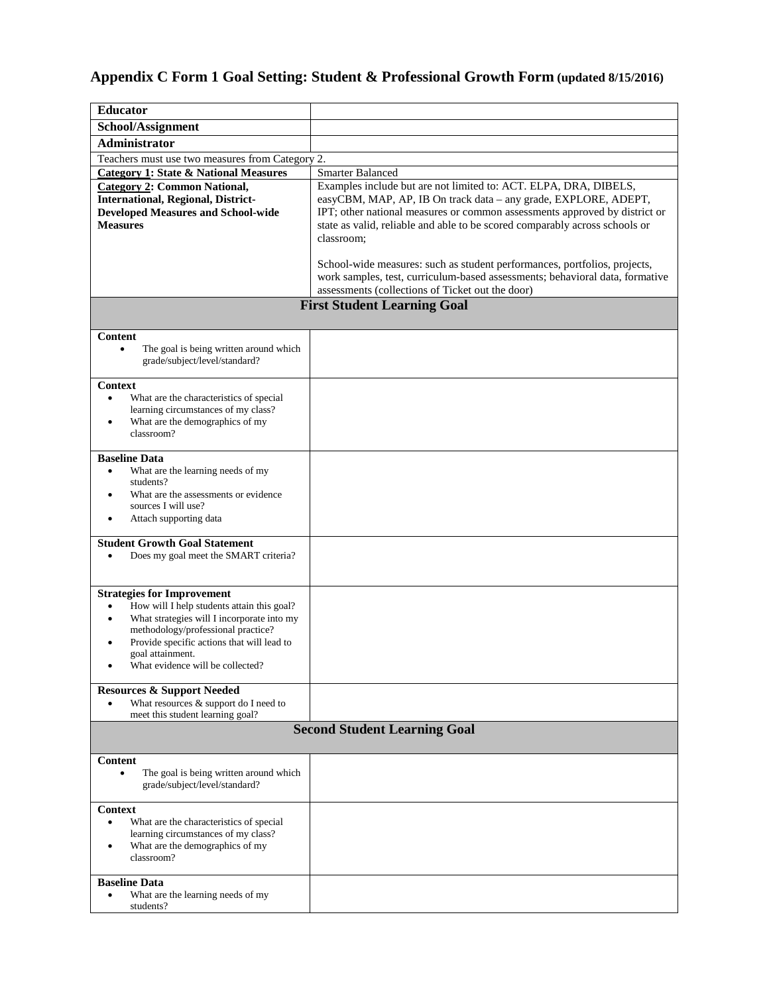## **Appendix C Form 1 Goal Setting: Student & Professional Growth Form (updated 8/15/2016)**

| <b>Educator</b>                                                                                                                                           |                                                                                                                                                                                                               |  |  |  |  |  |
|-----------------------------------------------------------------------------------------------------------------------------------------------------------|---------------------------------------------------------------------------------------------------------------------------------------------------------------------------------------------------------------|--|--|--|--|--|
| School/Assignment                                                                                                                                         |                                                                                                                                                                                                               |  |  |  |  |  |
| <b>Administrator</b>                                                                                                                                      |                                                                                                                                                                                                               |  |  |  |  |  |
| Teachers must use two measures from Category 2.                                                                                                           |                                                                                                                                                                                                               |  |  |  |  |  |
| <b>Category 1: State &amp; National Measures</b>                                                                                                          | <b>Smarter Balanced</b>                                                                                                                                                                                       |  |  |  |  |  |
| <b>Category 2: Common National,</b><br><b>International, Regional, District-</b>                                                                          | Examples include but are not limited to: ACT. ELPA, DRA, DIBELS,<br>easyCBM, MAP, AP, IB On track data - any grade, EXPLORE, ADEPT,                                                                           |  |  |  |  |  |
| <b>Developed Measures and School-wide</b><br><b>Measures</b>                                                                                              | IPT; other national measures or common assessments approved by district or<br>state as valid, reliable and able to be scored comparably across schools or<br>classroom:                                       |  |  |  |  |  |
|                                                                                                                                                           | School-wide measures: such as student performances, portfolios, projects,<br>work samples, test, curriculum-based assessments; behavioral data, formative<br>assessments (collections of Ticket out the door) |  |  |  |  |  |
|                                                                                                                                                           | <b>First Student Learning Goal</b>                                                                                                                                                                            |  |  |  |  |  |
|                                                                                                                                                           |                                                                                                                                                                                                               |  |  |  |  |  |
| Content                                                                                                                                                   |                                                                                                                                                                                                               |  |  |  |  |  |
| The goal is being written around which<br>grade/subject/level/standard?                                                                                   |                                                                                                                                                                                                               |  |  |  |  |  |
| <b>Context</b>                                                                                                                                            |                                                                                                                                                                                                               |  |  |  |  |  |
| What are the characteristics of special<br>$\bullet$<br>learning circumstances of my class?                                                               |                                                                                                                                                                                                               |  |  |  |  |  |
| What are the demographics of my<br>٠                                                                                                                      |                                                                                                                                                                                                               |  |  |  |  |  |
| classroom?                                                                                                                                                |                                                                                                                                                                                                               |  |  |  |  |  |
| <b>Baseline Data</b>                                                                                                                                      |                                                                                                                                                                                                               |  |  |  |  |  |
| What are the learning needs of my<br>$\bullet$                                                                                                            |                                                                                                                                                                                                               |  |  |  |  |  |
| students?                                                                                                                                                 |                                                                                                                                                                                                               |  |  |  |  |  |
| What are the assessments or evidence<br>sources I will use?                                                                                               |                                                                                                                                                                                                               |  |  |  |  |  |
| Attach supporting data                                                                                                                                    |                                                                                                                                                                                                               |  |  |  |  |  |
| <b>Student Growth Goal Statement</b>                                                                                                                      |                                                                                                                                                                                                               |  |  |  |  |  |
| Does my goal meet the SMART criteria?<br>$\bullet$                                                                                                        |                                                                                                                                                                                                               |  |  |  |  |  |
| <b>Strategies for Improvement</b>                                                                                                                         |                                                                                                                                                                                                               |  |  |  |  |  |
| How will I help students attain this goal?<br>$\bullet$                                                                                                   |                                                                                                                                                                                                               |  |  |  |  |  |
| What strategies will I incorporate into my<br>٠<br>methodology/professional practice?                                                                     |                                                                                                                                                                                                               |  |  |  |  |  |
| Provide specific actions that will lead to                                                                                                                |                                                                                                                                                                                                               |  |  |  |  |  |
| goal attainment.                                                                                                                                          |                                                                                                                                                                                                               |  |  |  |  |  |
| What evidence will be collected?                                                                                                                          |                                                                                                                                                                                                               |  |  |  |  |  |
| <b>Resources &amp; Support Needed</b>                                                                                                                     |                                                                                                                                                                                                               |  |  |  |  |  |
| What resources & support do I need to                                                                                                                     |                                                                                                                                                                                                               |  |  |  |  |  |
| meet this student learning goal?                                                                                                                          |                                                                                                                                                                                                               |  |  |  |  |  |
| <b>Second Student Learning Goal</b>                                                                                                                       |                                                                                                                                                                                                               |  |  |  |  |  |
| Content                                                                                                                                                   |                                                                                                                                                                                                               |  |  |  |  |  |
| The goal is being written around which<br>$\bullet$<br>grade/subject/level/standard?                                                                      |                                                                                                                                                                                                               |  |  |  |  |  |
| Context                                                                                                                                                   |                                                                                                                                                                                                               |  |  |  |  |  |
| What are the characteristics of special<br>$\bullet$<br>learning circumstances of my class?<br>What are the demographics of my<br>$\bullet$<br>classroom? |                                                                                                                                                                                                               |  |  |  |  |  |
| <b>Baseline Data</b>                                                                                                                                      |                                                                                                                                                                                                               |  |  |  |  |  |
| What are the learning needs of my<br>students?                                                                                                            |                                                                                                                                                                                                               |  |  |  |  |  |